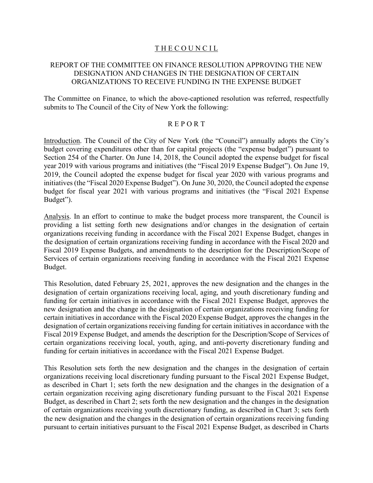# THE COUNCIL

# REPORT OF THE COMMITTEE ON FINANCE RESOLUTION APPROVING THE NEW DESIGNATION AND CHANGES IN THE DESIGNATION OF CERTAIN ORGANIZATIONS TO RECEIVE FUNDING IN THE EXPENSE BUDGET

The Committee on Finance, to which the above-captioned resolution was referred, respectfully submits to The Council of the City of New York the following:

# R E P O R T

Introduction. The Council of the City of New York (the "Council") annually adopts the City's budget covering expenditures other than for capital projects (the "expense budget") pursuant to Section 254 of the Charter. On June 14, 2018, the Council adopted the expense budget for fiscal year 2019 with various programs and initiatives (the "Fiscal 2019 Expense Budget"). On June 19, 2019, the Council adopted the expense budget for fiscal year 2020 with various programs and initiatives (the "Fiscal 2020 Expense Budget"). On June 30, 2020, the Council adopted the expense budget for fiscal year 2021 with various programs and initiatives (the "Fiscal 2021 Expense Budget").

Analysis. In an effort to continue to make the budget process more transparent, the Council is providing a list setting forth new designations and/or changes in the designation of certain organizations receiving funding in accordance with the Fiscal 2021 Expense Budget, changes in the designation of certain organizations receiving funding in accordance with the Fiscal 2020 and Fiscal 2019 Expense Budgets, and amendments to the description for the Description/Scope of Services of certain organizations receiving funding in accordance with the Fiscal 2021 Expense Budget.

This Resolution, dated February 25, 2021, approves the new designation and the changes in the designation of certain organizations receiving local, aging, and youth discretionary funding and funding for certain initiatives in accordance with the Fiscal 2021 Expense Budget, approves the new designation and the change in the designation of certain organizations receiving funding for certain initiatives in accordance with the Fiscal 2020 Expense Budget, approves the changes in the designation of certain organizations receiving funding for certain initiatives in accordance with the Fiscal 2019 Expense Budget, and amends the description for the Description/Scope of Services of certain organizations receiving local, youth, aging, and anti-poverty discretionary funding and funding for certain initiatives in accordance with the Fiscal 2021 Expense Budget.

This Resolution sets forth the new designation and the changes in the designation of certain organizations receiving local discretionary funding pursuant to the Fiscal 2021 Expense Budget, as described in Chart 1; sets forth the new designation and the changes in the designation of a certain organization receiving aging discretionary funding pursuant to the Fiscal 2021 Expense Budget, as described in Chart 2; sets forth the new designation and the changes in the designation of certain organizations receiving youth discretionary funding, as described in Chart 3; sets forth the new designation and the changes in the designation of certain organizations receiving funding pursuant to certain initiatives pursuant to the Fiscal 2021 Expense Budget, as described in Charts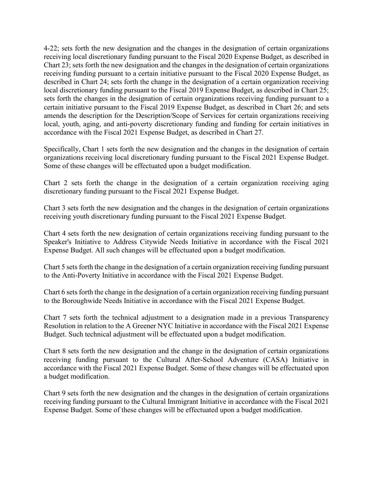4-22; sets forth the new designation and the changes in the designation of certain organizations receiving local discretionary funding pursuant to the Fiscal 2020 Expense Budget, as described in Chart 23; sets forth the new designation and the changes in the designation of certain organizations receiving funding pursuant to a certain initiative pursuant to the Fiscal 2020 Expense Budget, as described in Chart 24; sets forth the change in the designation of a certain organization receiving local discretionary funding pursuant to the Fiscal 2019 Expense Budget, as described in Chart 25; sets forth the changes in the designation of certain organizations receiving funding pursuant to a certain initiative pursuant to the Fiscal 2019 Expense Budget, as described in Chart 26; and sets amends the description for the Description/Scope of Services for certain organizations receiving local, youth, aging, and anti-poverty discretionary funding and funding for certain initiatives in accordance with the Fiscal 2021 Expense Budget, as described in Chart 27.

Specifically, Chart 1 sets forth the new designation and the changes in the designation of certain organizations receiving local discretionary funding pursuant to the Fiscal 2021 Expense Budget. Some of these changes will be effectuated upon a budget modification.

Chart 2 sets forth the change in the designation of a certain organization receiving aging discretionary funding pursuant to the Fiscal 2021 Expense Budget.

Chart 3 sets forth the new designation and the changes in the designation of certain organizations receiving youth discretionary funding pursuant to the Fiscal 2021 Expense Budget.

Chart 4 sets forth the new designation of certain organizations receiving funding pursuant to the Speaker's Initiative to Address Citywide Needs Initiative in accordance with the Fiscal 2021 Expense Budget. All such changes will be effectuated upon a budget modification.

Chart 5 sets forth the change in the designation of a certain organization receiving funding pursuant to the Anti-Poverty Initiative in accordance with the Fiscal 2021 Expense Budget.

Chart 6 sets forth the change in the designation of a certain organization receiving funding pursuant to the Boroughwide Needs Initiative in accordance with the Fiscal 2021 Expense Budget.

Chart 7 sets forth the technical adjustment to a designation made in a previous Transparency Resolution in relation to the A Greener NYC Initiative in accordance with the Fiscal 2021 Expense Budget. Such technical adjustment will be effectuated upon a budget modification.

Chart 8 sets forth the new designation and the change in the designation of certain organizations receiving funding pursuant to the Cultural After-School Adventure (CASA) Initiative in accordance with the Fiscal 2021 Expense Budget. Some of these changes will be effectuated upon a budget modification.

Chart 9 sets forth the new designation and the changes in the designation of certain organizations receiving funding pursuant to the Cultural Immigrant Initiative in accordance with the Fiscal 2021 Expense Budget. Some of these changes will be effectuated upon a budget modification.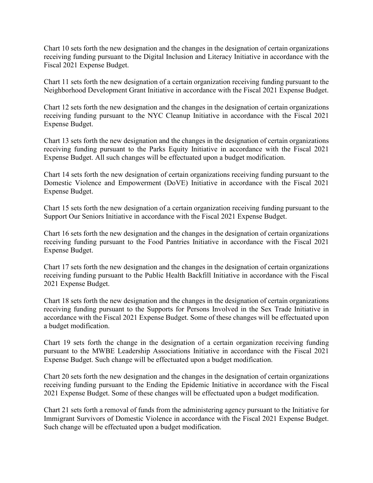Chart 10 sets forth the new designation and the changes in the designation of certain organizations receiving funding pursuant to the Digital Inclusion and Literacy Initiative in accordance with the Fiscal 2021 Expense Budget.

Chart 11 sets forth the new designation of a certain organization receiving funding pursuant to the Neighborhood Development Grant Initiative in accordance with the Fiscal 2021 Expense Budget.

Chart 12 sets forth the new designation and the changes in the designation of certain organizations receiving funding pursuant to the NYC Cleanup Initiative in accordance with the Fiscal 2021 Expense Budget.

Chart 13 sets forth the new designation and the changes in the designation of certain organizations receiving funding pursuant to the Parks Equity Initiative in accordance with the Fiscal 2021 Expense Budget. All such changes will be effectuated upon a budget modification.

Chart 14 sets forth the new designation of certain organizations receiving funding pursuant to the Domestic Violence and Empowerment (DoVE) Initiative in accordance with the Fiscal 2021 Expense Budget.

Chart 15 sets forth the new designation of a certain organization receiving funding pursuant to the Support Our Seniors Initiative in accordance with the Fiscal 2021 Expense Budget.

Chart 16 sets forth the new designation and the changes in the designation of certain organizations receiving funding pursuant to the Food Pantries Initiative in accordance with the Fiscal 2021 Expense Budget.

Chart 17 sets forth the new designation and the changes in the designation of certain organizations receiving funding pursuant to the Public Health Backfill Initiative in accordance with the Fiscal 2021 Expense Budget.

Chart 18 sets forth the new designation and the changes in the designation of certain organizations receiving funding pursuant to the Supports for Persons Involved in the Sex Trade Initiative in accordance with the Fiscal 2021 Expense Budget. Some of these changes will be effectuated upon a budget modification.

Chart 19 sets forth the change in the designation of a certain organization receiving funding pursuant to the MWBE Leadership Associations Initiative in accordance with the Fiscal 2021 Expense Budget. Such change will be effectuated upon a budget modification.

Chart 20 sets forth the new designation and the changes in the designation of certain organizations receiving funding pursuant to the Ending the Epidemic Initiative in accordance with the Fiscal 2021 Expense Budget. Some of these changes will be effectuated upon a budget modification.

Chart 21 sets forth a removal of funds from the administering agency pursuant to the Initiative for Immigrant Survivors of Domestic Violence in accordance with the Fiscal 2021 Expense Budget. Such change will be effectuated upon a budget modification.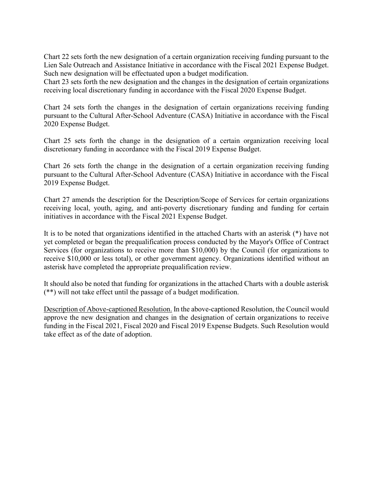Chart 22 sets forth the new designation of a certain organization receiving funding pursuant to the Lien Sale Outreach and Assistance Initiative in accordance with the Fiscal 2021 Expense Budget. Such new designation will be effectuated upon a budget modification.

Chart 23 sets forth the new designation and the changes in the designation of certain organizations receiving local discretionary funding in accordance with the Fiscal 2020 Expense Budget.

Chart 24 sets forth the changes in the designation of certain organizations receiving funding pursuant to the Cultural After-School Adventure (CASA) Initiative in accordance with the Fiscal 2020 Expense Budget.

Chart 25 sets forth the change in the designation of a certain organization receiving local discretionary funding in accordance with the Fiscal 2019 Expense Budget.

Chart 26 sets forth the change in the designation of a certain organization receiving funding pursuant to the Cultural After-School Adventure (CASA) Initiative in accordance with the Fiscal 2019 Expense Budget.

Chart 27 amends the description for the Description/Scope of Services for certain organizations receiving local, youth, aging, and anti-poverty discretionary funding and funding for certain initiatives in accordance with the Fiscal 2021 Expense Budget.

It is to be noted that organizations identified in the attached Charts with an asterisk (\*) have not yet completed or began the prequalification process conducted by the Mayor's Office of Contract Services (for organizations to receive more than \$10,000) by the Council (for organizations to receive \$10,000 or less total), or other government agency. Organizations identified without an asterisk have completed the appropriate prequalification review.

It should also be noted that funding for organizations in the attached Charts with a double asterisk (\*\*) will not take effect until the passage of a budget modification.

Description of Above-captioned Resolution. In the above-captioned Resolution, the Council would approve the new designation and changes in the designation of certain organizations to receive funding in the Fiscal 2021, Fiscal 2020 and Fiscal 2019 Expense Budgets. Such Resolution would take effect as of the date of adoption.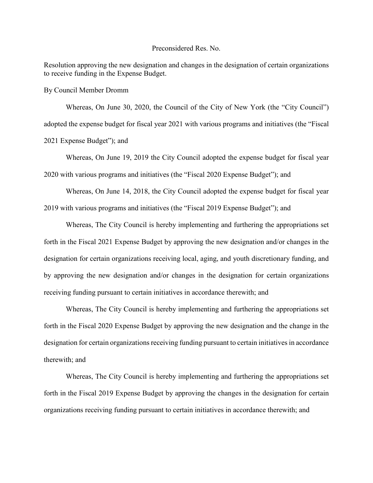#### Preconsidered Res. No.

Resolution approving the new designation and changes in the designation of certain organizations to receive funding in the Expense Budget.

By Council Member Dromm

Whereas, On June 30, 2020, the Council of the City of New York (the "City Council") adopted the expense budget for fiscal year 2021 with various programs and initiatives (the "Fiscal 2021 Expense Budget"); and

Whereas, On June 19, 2019 the City Council adopted the expense budget for fiscal year 2020 with various programs and initiatives (the "Fiscal 2020 Expense Budget"); and

Whereas, On June 14, 2018, the City Council adopted the expense budget for fiscal year 2019 with various programs and initiatives (the "Fiscal 2019 Expense Budget"); and

Whereas, The City Council is hereby implementing and furthering the appropriations set forth in the Fiscal 2021 Expense Budget by approving the new designation and/or changes in the designation for certain organizations receiving local, aging, and youth discretionary funding, and by approving the new designation and/or changes in the designation for certain organizations receiving funding pursuant to certain initiatives in accordance therewith; and

Whereas, The City Council is hereby implementing and furthering the appropriations set forth in the Fiscal 2020 Expense Budget by approving the new designation and the change in the designation for certain organizations receiving funding pursuant to certain initiatives in accordance therewith; and

Whereas, The City Council is hereby implementing and furthering the appropriations set forth in the Fiscal 2019 Expense Budget by approving the changes in the designation for certain organizations receiving funding pursuant to certain initiatives in accordance therewith; and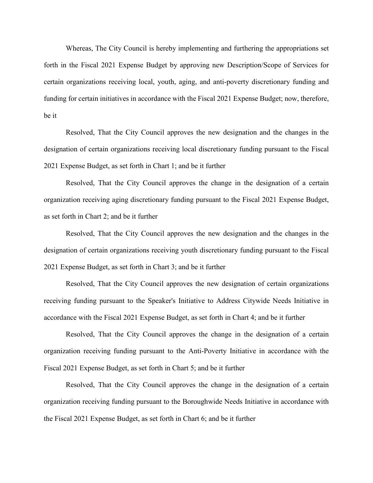Whereas, The City Council is hereby implementing and furthering the appropriations set forth in the Fiscal 2021 Expense Budget by approving new Description/Scope of Services for certain organizations receiving local, youth, aging, and anti-poverty discretionary funding and funding for certain initiatives in accordance with the Fiscal 2021 Expense Budget; now, therefore, be it

Resolved, That the City Council approves the new designation and the changes in the designation of certain organizations receiving local discretionary funding pursuant to the Fiscal 2021 Expense Budget, as set forth in Chart 1; and be it further

Resolved, That the City Council approves the change in the designation of a certain organization receiving aging discretionary funding pursuant to the Fiscal 2021 Expense Budget, as set forth in Chart 2; and be it further

Resolved, That the City Council approves the new designation and the changes in the designation of certain organizations receiving youth discretionary funding pursuant to the Fiscal 2021 Expense Budget, as set forth in Chart 3; and be it further

Resolved, That the City Council approves the new designation of certain organizations receiving funding pursuant to the Speaker's Initiative to Address Citywide Needs Initiative in accordance with the Fiscal 2021 Expense Budget, as set forth in Chart 4; and be it further

Resolved, That the City Council approves the change in the designation of a certain organization receiving funding pursuant to the Anti-Poverty Initiative in accordance with the Fiscal 2021 Expense Budget, as set forth in Chart 5; and be it further

Resolved, That the City Council approves the change in the designation of a certain organization receiving funding pursuant to the Boroughwide Needs Initiative in accordance with the Fiscal 2021 Expense Budget, as set forth in Chart 6; and be it further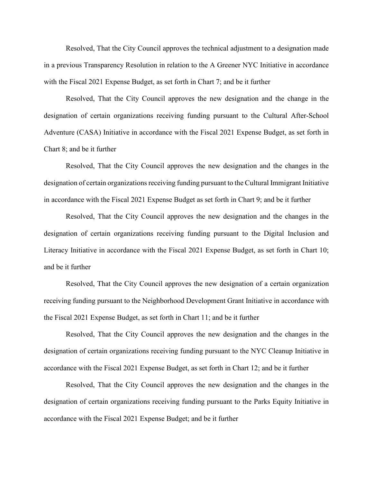Resolved, That the City Council approves the technical adjustment to a designation made in a previous Transparency Resolution in relation to the A Greener NYC Initiative in accordance with the Fiscal 2021 Expense Budget, as set forth in Chart 7; and be it further

Resolved, That the City Council approves the new designation and the change in the designation of certain organizations receiving funding pursuant to the Cultural After-School Adventure (CASA) Initiative in accordance with the Fiscal 2021 Expense Budget, as set forth in Chart 8; and be it further

Resolved, That the City Council approves the new designation and the changes in the designation of certain organizations receiving funding pursuant to the Cultural Immigrant Initiative in accordance with the Fiscal 2021 Expense Budget as set forth in Chart 9; and be it further

Resolved, That the City Council approves the new designation and the changes in the designation of certain organizations receiving funding pursuant to the Digital Inclusion and Literacy Initiative in accordance with the Fiscal 2021 Expense Budget, as set forth in Chart 10; and be it further

Resolved, That the City Council approves the new designation of a certain organization receiving funding pursuant to the Neighborhood Development Grant Initiative in accordance with the Fiscal 2021 Expense Budget, as set forth in Chart 11; and be it further

Resolved, That the City Council approves the new designation and the changes in the designation of certain organizations receiving funding pursuant to the NYC Cleanup Initiative in accordance with the Fiscal 2021 Expense Budget, as set forth in Chart 12; and be it further

Resolved, That the City Council approves the new designation and the changes in the designation of certain organizations receiving funding pursuant to the Parks Equity Initiative in accordance with the Fiscal 2021 Expense Budget; and be it further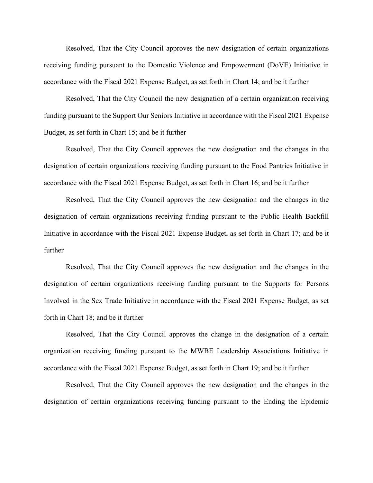Resolved, That the City Council approves the new designation of certain organizations receiving funding pursuant to the Domestic Violence and Empowerment (DoVE) Initiative in accordance with the Fiscal 2021 Expense Budget, as set forth in Chart 14; and be it further

Resolved, That the City Council the new designation of a certain organization receiving funding pursuant to the Support Our Seniors Initiative in accordance with the Fiscal 2021 Expense Budget, as set forth in Chart 15; and be it further

Resolved, That the City Council approves the new designation and the changes in the designation of certain organizations receiving funding pursuant to the Food Pantries Initiative in accordance with the Fiscal 2021 Expense Budget, as set forth in Chart 16; and be it further

Resolved, That the City Council approves the new designation and the changes in the designation of certain organizations receiving funding pursuant to the Public Health Backfill Initiative in accordance with the Fiscal 2021 Expense Budget, as set forth in Chart 17; and be it further

Resolved, That the City Council approves the new designation and the changes in the designation of certain organizations receiving funding pursuant to the Supports for Persons Involved in the Sex Trade Initiative in accordance with the Fiscal 2021 Expense Budget, as set forth in Chart 18; and be it further

Resolved, That the City Council approves the change in the designation of a certain organization receiving funding pursuant to the MWBE Leadership Associations Initiative in accordance with the Fiscal 2021 Expense Budget, as set forth in Chart 19; and be it further

Resolved, That the City Council approves the new designation and the changes in the designation of certain organizations receiving funding pursuant to the Ending the Epidemic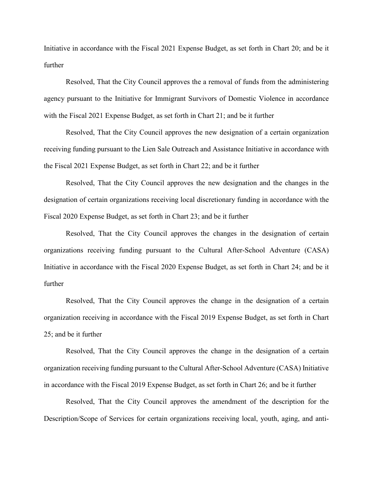Initiative in accordance with the Fiscal 2021 Expense Budget, as set forth in Chart 20; and be it further

Resolved, That the City Council approves the a removal of funds from the administering agency pursuant to the Initiative for Immigrant Survivors of Domestic Violence in accordance with the Fiscal 2021 Expense Budget, as set forth in Chart 21; and be it further

Resolved, That the City Council approves the new designation of a certain organization receiving funding pursuant to the Lien Sale Outreach and Assistance Initiative in accordance with the Fiscal 2021 Expense Budget, as set forth in Chart 22; and be it further

Resolved, That the City Council approves the new designation and the changes in the designation of certain organizations receiving local discretionary funding in accordance with the Fiscal 2020 Expense Budget, as set forth in Chart 23; and be it further

Resolved, That the City Council approves the changes in the designation of certain organizations receiving funding pursuant to the Cultural After-School Adventure (CASA) Initiative in accordance with the Fiscal 2020 Expense Budget, as set forth in Chart 24; and be it further

Resolved, That the City Council approves the change in the designation of a certain organization receiving in accordance with the Fiscal 2019 Expense Budget, as set forth in Chart 25; and be it further

Resolved, That the City Council approves the change in the designation of a certain organization receiving funding pursuant to the Cultural After-School Adventure (CASA) Initiative in accordance with the Fiscal 2019 Expense Budget, as set forth in Chart 26; and be it further

Resolved, That the City Council approves the amendment of the description for the Description/Scope of Services for certain organizations receiving local, youth, aging, and anti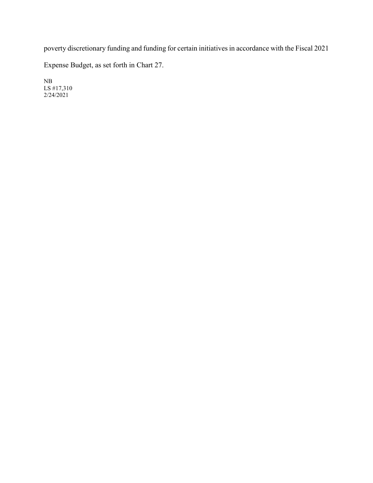poverty discretionary funding and funding for certain initiatives in accordance with the Fiscal 2021

Expense Budget, as set forth in Chart 27.

NB LS #17,310 2/24/2021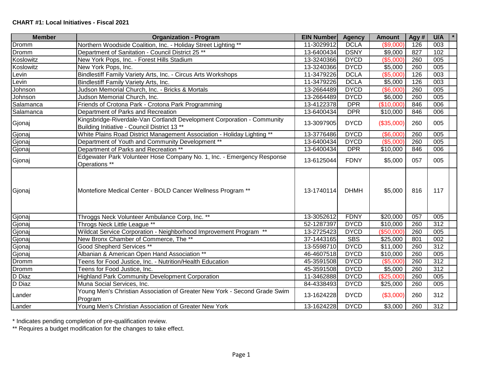| <b>Member</b> | <b>Organization - Program</b>                                                                                           | <b>EIN Number</b> | <b>Agency</b> | <b>Amount</b>   | Agy # | U/A              |
|---------------|-------------------------------------------------------------------------------------------------------------------------|-------------------|---------------|-----------------|-------|------------------|
| Dromm         | Northern Woodside Coalition, Inc. - Holiday Street Lighting **                                                          | 11-3029912        | <b>DCLA</b>   | (\$9,000)       | 126   | 003              |
| Dromm         | Department of Sanitation - Council District 25 **                                                                       | 13-6400434        | <b>DSNY</b>   | \$9,000         | 827   | 102              |
| Koslowitz     | New York Pops, Inc. - Forest Hills Stadium                                                                              | 13-3240366        | <b>DYCD</b>   | (\$5,000)       | 260   | 005              |
| Koslowitz     | New York Pops, Inc.                                                                                                     | 13-3240366        | <b>DYCD</b>   | \$5,000         | 260   | 005              |
| Levin         | Bindlestiff Family Variety Arts, Inc. - Circus Arts Workshops                                                           | 11-3479226        | <b>DCLA</b>   | (\$5,000)       | 126   | 003              |
| _evin         | Bindlestiff Family Variety Arts, Inc.                                                                                   | 11-3479226        | <b>DCLA</b>   | \$5,000         | 126   | 003              |
| Johnson       | Judson Memorial Church, Inc. - Bricks & Mortals                                                                         | 13-2664489        | <b>DYCD</b>   | (\$6,000)       | 260   | 005              |
| Johnson       | Judson Memorial Church, Inc.                                                                                            | 13-2664489        | <b>DYCD</b>   | \$6,000         | 260   | 005              |
| Salamanca     | Friends of Crotona Park - Crotona Park Programming                                                                      | 13-4122378        | <b>DPR</b>    | (\$10,000)      | 846   | 006              |
| Salamanca     | Department of Parks and Recreation                                                                                      | 13-6400434        | <b>DPR</b>    | \$10,000        | 846   | 006              |
| Gjonaj        | Kingsbridge-Riverdale-Van Cortlandt Development Corporation - Community<br>Building Initiative - Council District 13 ** | 13-3097905        | <b>DYCD</b>   | (\$35,000)      | 260   | 005              |
| Gjonaj        | White Plains Road District Management Association - Holiday Lighting **                                                 | 13-3776486        | <b>DYCD</b>   | (\$6,000)       | 260   | 005              |
| Gjonaj        | Department of Youth and Community Development **                                                                        | 13-6400434        | <b>DYCD</b>   | (\$5,000)       | 260   | 005              |
| Gjonaj        | Department of Parks and Recreation **                                                                                   | 13-6400434        | <b>DPR</b>    | \$10,000        | 846   | 006              |
| Gjonaj        | Edgewater Park Volunteer Hose Company No. 1, Inc. - Emergency Response<br>Operations **                                 | 13-6125044        | <b>FDNY</b>   | \$5,000         | 057   | 005              |
| Gjonaj        | Montefiore Medical Center - BOLD Cancer Wellness Program **                                                             | 13-1740114        | <b>DHMH</b>   | \$5,000         | 816   | 117              |
| Gjonaj        | Throggs Neck Volunteer Ambulance Corp, Inc. **                                                                          | 13-3052612        | <b>FDNY</b>   | \$20,000        | 057   | 005              |
| Gjonaj        | Throgs Neck Little League **                                                                                            | 52-1287397        | <b>DYCD</b>   | \$10,000        | 260   | $\overline{312}$ |
| Gjonaj        | Wildcat Service Corporation - Neighborhood Improvement Program **                                                       | 13-2725423        | <b>DYCD</b>   | (\$50,000)      | 260   | 005              |
| Gjonaj        | New Bronx Chamber of Commerce, The **                                                                                   | 37-1443165        | <b>SBS</b>    | \$25,000        | 801   | 002              |
| Gjonaj        | Good Shepherd Services **                                                                                               | 13-5598710        | <b>DYCD</b>   | \$11,000        | 260   | 312              |
| Gjonaj        | Albanian & American Open Hand Association **                                                                            | 46-4607518        | <b>DYCD</b>   | \$10,000        | 260   | 005              |
| Dromm         | Teens for Food Justice, Inc. - Nutrition/Health Education                                                               | 45-3591508        | <b>DYCD</b>   | (\$5,000        | 260   | $\overline{312}$ |
| Dromm         | Teens for Food Justice, Inc.                                                                                            | 45-3591508        | <b>DYCD</b>   | \$5,000         | 260   | 312              |
| D Diaz        | <b>Highland Park Community Development Corporation</b>                                                                  | 11-3462888        | <b>DYCD</b>   | (\$25,000)      | 260   | 005              |
| D Diaz        | Muna Social Services, Inc.                                                                                              | 84-4338493        | <b>DYCD</b>   | \$25,000        | 260   | 005              |
| Lander        | Young Men's Christian Association of Greater New York - Second Grade Swim<br>Program                                    | 13-1624228        | <b>DYCD</b>   | (\$3,000)       | 260   | 312              |
| Lander        | Young Men's Christian Association of Greater New York                                                                   | 13-1624228        | <b>DYCD</b>   | $\sqrt{$3,000}$ | 260   | $\overline{312}$ |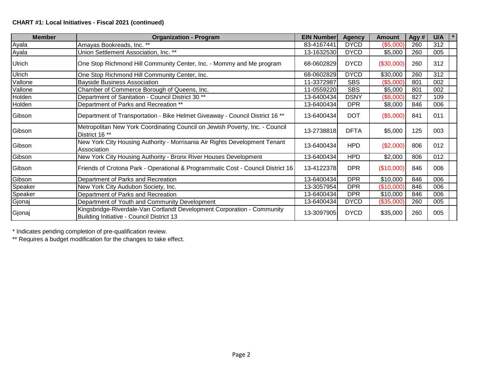| <b>Member</b> | <b>Organization - Program</b>                                                                                        | <b>EIN Number</b> | <b>Agency</b> | Amount      | Agy # | U/A |
|---------------|----------------------------------------------------------------------------------------------------------------------|-------------------|---------------|-------------|-------|-----|
| Ayala         | Amayas Bookreads, Inc. **                                                                                            | 83-4167441        | <b>DYCD</b>   | (\$5,000)   | 260   | 312 |
| Ayala         | Union Settlement Association, Inc. **                                                                                | 13-1632530        | <b>DYCD</b>   | \$5,000     | 260   | 005 |
| Ulrich        | One Stop Richmond Hill Community Center, Inc. - Mommy and Me program                                                 | 68-0602829        | <b>DYCD</b>   | (\$30,000)  | 260   | 312 |
| <b>Ulrich</b> | One Stop Richmond Hill Community Center, Inc.                                                                        | 68-0602829        | <b>DYCD</b>   | \$30,000    | 260   | 312 |
| Vallone       | <b>Bayside Business Association</b>                                                                                  | 11-3372987        | <b>SBS</b>    | (\$5,000)   | 801   | 002 |
| Vallone       | Chamber of Commerce Borough of Queens, Inc.                                                                          | 11-0559220        | <b>SBS</b>    | \$5,000     | 801   | 002 |
| Holden        | Department of Sanitation - Council District 30 <sup>**</sup>                                                         | 13-6400434        | <b>DSNY</b>   | $(\$8,000)$ | 827   | 109 |
| Holden        | Department of Parks and Recreation **                                                                                | 13-6400434        | <b>DPR</b>    | \$8,000     | 846   | 006 |
| Gibson        | Department of Transportation - Bike Helmet Giveaway - Council District 16 **                                         | 13-6400434        | <b>DOT</b>    | (\$5,000)   | 841   | 011 |
| Gibson        | Metropolitan New York Coordinating Council on Jewish Poverty, Inc. - Council<br>District 16 <sup>**</sup>            | 13-2738818        | <b>DFTA</b>   | \$5,000     | 125   | 003 |
| Gibson        | New York City Housing Authority - Morrisania Air Rights Development Tenant<br>Association                            | 13-6400434        | <b>HPD</b>    | (\$2,000)   | 806   | 012 |
| Gibson        | New York City Housing Authority - Bronx River Houses Development                                                     | 13-6400434        | <b>HPD</b>    | \$2,000     | 806   | 012 |
| Gibson        | Friends of Crotona Park - Operational & Programmatic Cost - Council District 16                                      | 13-4122378        | <b>DPR</b>    | (\$10,000)  | 846   | 006 |
| Gibson        | Department of Parks and Recreation                                                                                   | 13-6400434        | <b>DPR</b>    | \$10,000    | 846   | 006 |
| Speaker       | New York City Audubon Society, Inc.                                                                                  | 13-3057954        | <b>DPR</b>    | (\$10,000)  | 846   | 006 |
| Speaker       | Department of Parks and Recreation                                                                                   | 13-6400434        | <b>DPR</b>    | \$10,000    | 846   | 006 |
| Gjonaj        | Department of Youth and Community Development                                                                        | 13-6400434        | <b>DYCD</b>   | (\$35,000)  | 260   | 005 |
| Gjonaj        | Kingsbridge-Riverdale-Van Cortlandt Development Corporation - Community<br>Building Initiative - Council District 13 | 13-3097905        | <b>DYCD</b>   | \$35,000    | 260   | 005 |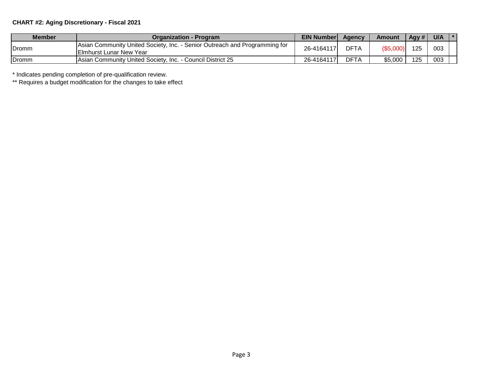# **CHART #2: Aging Discretionary - Fiscal 2021**

| <b>Member</b> | Organization - Program                                                                                        | <b>EIN Number</b> | <b>Agency</b> | Amount    | Agy # | U/A | $\mathbf{1}$ $\ast$ |
|---------------|---------------------------------------------------------------------------------------------------------------|-------------------|---------------|-----------|-------|-----|---------------------|
| .Dromm        | Asian Community United Society, Inc. - Senior Outreach and Programming for<br><b>IElmhurst Lunar New Year</b> | 26-4164117        | <b>DFTA</b>   | (\$5,000) | 125   | 003 |                     |
| .Dromm        | Asian Community United Society, Inc. - Council District 25                                                    | 26-4164117        | DFTA          | \$5,000   | 125   | 003 |                     |

\* Indicates pending completion of pre-qualification review.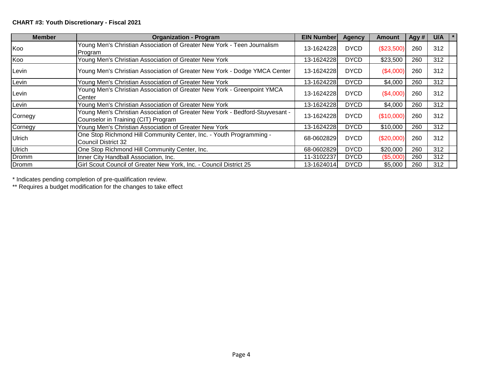| <b>Member</b> | <b>Organization - Program</b>                                                                                       | <b>EIN Number</b> | <b>Agency</b> | <b>Amount</b> | Agy # | U/A |
|---------------|---------------------------------------------------------------------------------------------------------------------|-------------------|---------------|---------------|-------|-----|
| Koo           | Young Men's Christian Association of Greater New York - Teen Journalism<br>Program                                  | 13-1624228        | <b>DYCD</b>   | (\$23,500)    | 260   | 312 |
| Koo           | Young Men's Christian Association of Greater New York                                                               | 13-1624228        | <b>DYCD</b>   | \$23,500      | 260   | 312 |
| Levin         | Young Men's Christian Association of Greater New York - Dodge YMCA Center                                           | 13-1624228        | <b>DYCD</b>   | (\$4,000)     | 260   | 312 |
| Levin         | Young Men's Christian Association of Greater New York                                                               | 13-1624228        | <b>DYCD</b>   | \$4,000       | 260   | 312 |
| Levin         | Young Men's Christian Association of Greater New York - Greenpoint YMCA<br>Center                                   | 13-1624228        | <b>DYCD</b>   | (\$4,000)     | 260   | 312 |
| Levin         | Young Men's Christian Association of Greater New York                                                               | 13-1624228        | <b>DYCD</b>   | \$4,000       | 260   | 312 |
| Cornegy       | Young Men's Christian Association of Greater New York - Bedford-Stuyvesant -<br>Counselor in Training (CIT) Program | 13-1624228        | <b>DYCD</b>   | (\$10,000)    | 260   | 312 |
| Cornegy       | Young Men's Christian Association of Greater New York                                                               | 13-1624228        | <b>DYCD</b>   | \$10,000      | 260   | 312 |
| <b>Ulrich</b> | One Stop Richmond Hill Community Center, Inc. - Youth Programming -<br><b>Council District 32</b>                   | 68-0602829        | <b>DYCD</b>   | $(\$20,000)$  | 260   | 312 |
| Ulrich        | One Stop Richmond Hill Community Center, Inc.                                                                       | 68-0602829        | <b>DYCD</b>   | \$20,000      | 260   | 312 |
| Dromm         | Inner City Handball Association, Inc.                                                                               | 11-3102237        | <b>DYCD</b>   | (\$5,000)     | 260   | 312 |
| Dromm         | Girl Scout Council of Greater New York, Inc. - Council District 25                                                  | 13-1624014        | <b>DYCD</b>   | \$5,000       | 260   | 312 |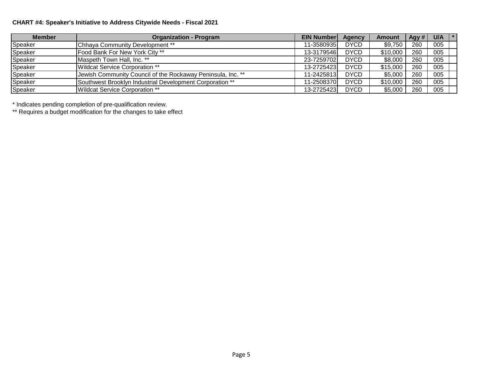# **CHART #4: Speaker's Initiative to Address Citywide Needs - Fiscal 2021**

| <b>Member</b> | <b>Organization - Program</b>                               | <b>EIN Numberl</b> | Agency      | <b>Amount</b> | Agy $#$ | U/A |  |
|---------------|-------------------------------------------------------------|--------------------|-------------|---------------|---------|-----|--|
| Speaker       | Chhaya Community Development **                             | 11-3580935         | <b>DYCD</b> | \$9,750       | 260     | 005 |  |
| Speaker       | Food Bank For New York City **                              | 13-3179546         | <b>DYCD</b> | \$10,000      | 260     | 005 |  |
| Speaker       | Maspeth Town Hall, Inc. **                                  | 23-7259702         | <b>DYCD</b> | \$8,000       | 260     | 005 |  |
| Speaker       | Wildcat Service Corporation **                              | 13-2725423         | <b>DYCD</b> | \$15,000      | 260     | 005 |  |
| Speaker       | Jewish Community Council of the Rockaway Peninsula, Inc. ** | 11-2425813         | <b>DYCD</b> | \$5,000       | 260     | 005 |  |
| Speaker       | Southwest Brooklyn Industrial Development Corporation **    | 11-2508370         | <b>DYCD</b> | \$10,000      | 260     | 005 |  |
| Speaker       | Wildcat Service Corporation **                              | 13-27254231        | <b>DYCD</b> | \$5,000       | 260     | 005 |  |

\* Indicates pending completion of pre-qualification review.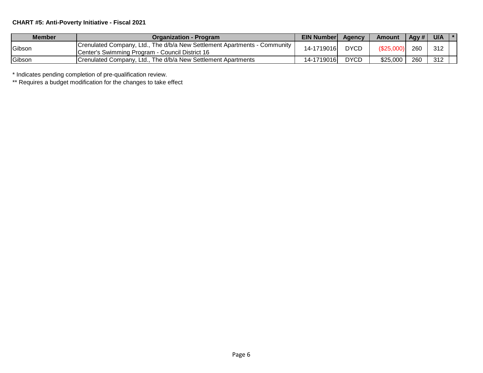# **CHART #5: Anti-Poverty Initiative - Fiscal 2021**

| Member        | <b>Organization - Program</b>                                                                                                 | <b>EIN Number</b> | Agency      | Amount    | Agy $#$ | U/A | $\mathbf{1}$ $\ast$ |
|---------------|-------------------------------------------------------------------------------------------------------------------------------|-------------------|-------------|-----------|---------|-----|---------------------|
| Gibson        | Crenulated Company, Ltd., The d/b/a New Settlement Apartments - Community<br>ICenter's Swimming Program - Council District 16 | 14-1719016        | <b>DYCD</b> | (\$25,000 | 260     | 312 |                     |
| <b>Gibson</b> | Crenulated Company, Ltd., The d/b/a New Settlement Apartments                                                                 | 14-1719016        | <b>DYCD</b> | \$25,000  | 260     | 312 |                     |

\* Indicates pending completion of pre-qualification review.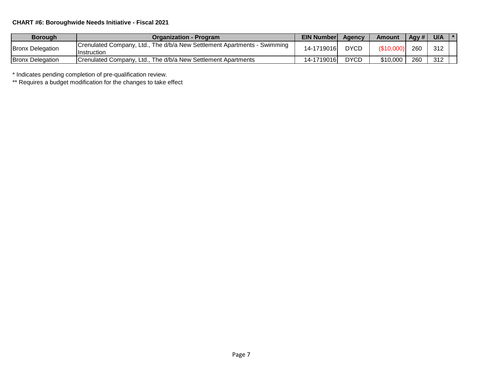# **CHART #6: Boroughwide Needs Initiative - Fiscal 2021**

| <b>Borough</b>          | <b>Organization - Program</b>                                                                   | <b>EIN Number</b> | Agency      | <b>Amount</b> | Agy $#$ | U/A | $\mathbf{1}$ $\ast$ |
|-------------------------|-------------------------------------------------------------------------------------------------|-------------------|-------------|---------------|---------|-----|---------------------|
| <b>Bronx Delegation</b> | Crenulated Company, Ltd., The d/b/a New Settlement Apartments - Swimming<br><b>Ilnstruction</b> | 14-1719016        | <b>DYCD</b> | (\$10,000     | 260     | 312 |                     |
| <b>Bronx Delegation</b> | Crenulated Company, Ltd., The d/b/a New Settlement Apartments                                   | 14-1719016        | <b>DYCD</b> | \$10,000      | 260     | 312 |                     |

\* Indicates pending completion of pre-qualification review.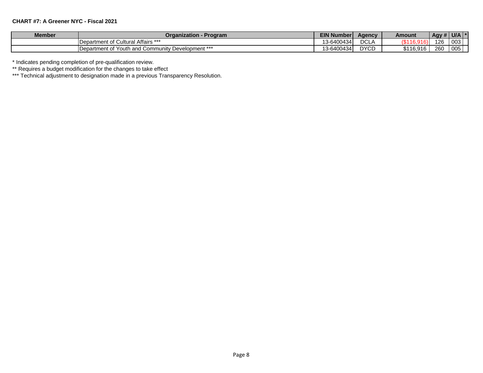#### **CHART #7: A Greener NYC - Fiscal 2021**

| <b>Member</b> | - Program<br>Organization -                                    | <b>EIN Number</b>            | Aaencv                         | <b>Amount</b> | $\vert$ Agy # $\vert$ U/A |     |  |
|---------------|----------------------------------------------------------------|------------------------------|--------------------------------|---------------|---------------------------|-----|--|
|               | ultural Affairs ***<br>Department of Cult                      | 13-6400434                   | DCL <sub>/</sub><br>$\sqrt{ }$ | $\sim$        | 126                       | 003 |  |
|               | . Development ***<br><b>IDepartment of Youth and Community</b> | 13-6400434<br>$\overline{ }$ | <b>DYCD</b>                    | \$116,916     | 260                       | 005 |  |

\* Indicates pending completion of pre-qualification review.

\*\* Requires a budget modification for the changes to take effect

\*\*\* Technical adjustment to designation made in a previous Transparency Resolution.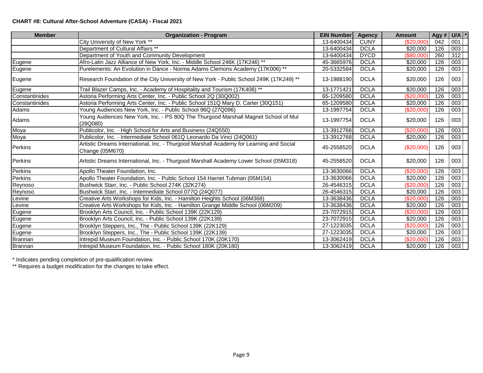### **CHART #8: Cultural After-School Adventure (CASA) - Fiscal 2021**

| <b>Member</b>  | <b>Organization - Program</b>                                                                              | <b>EIN Number</b> | <b>Agency</b> | <b>Amount</b> | Agy $\#$ U/A |     |  |
|----------------|------------------------------------------------------------------------------------------------------------|-------------------|---------------|---------------|--------------|-----|--|
|                | City University of New York **                                                                             | 13-6400434        | <b>CUNY</b>   | (\$20,000)    | 042          | 001 |  |
|                | Department of Cultural Affairs **                                                                          | 13-6400434        | <b>DCLA</b>   | \$20,000      | 126          | 003 |  |
|                | Department of Youth and Community Development                                                              | 13-6400434        | <b>DYCD</b>   | (\$80,000     | 260          | 312 |  |
| Eugene         | Afro-Latin Jazz Alliance of New York, Inc. - Middle School 246K (17K246) **                                | 45-3665976        | <b>DCLA</b>   | \$20,000      | 126          | 003 |  |
| Eugene         | Purelements: An Evolution in Dance - Norma Adams Clemons Academy (17K006) **                               | 20-5332584        | <b>DCLA</b>   | \$20,000      | 126          | 003 |  |
| Eugene         | Research Foundation of the City University of New York - Public School 249K (17K249) **                    | 13-1988190        | <b>DCLA</b>   | \$20,000      | 126          | 003 |  |
| Eugene         | Trail Blazer Camps, Inc. - Academy of Hospitality and Tourism (17K408) **                                  | 13-1771421        | <b>DCLA</b>   | \$20,000      | 126          | 003 |  |
| Constantinides | Astoria Performing Arts Center, Inc. - Public School 2Q (30Q002)                                           | 65-1209580        | <b>DCLA</b>   | (\$20,000"    | 126          | 003 |  |
| Constantinides | Astoria Performing Arts Center, Inc. - Public School 151Q Mary D. Carter (30Q151)                          | 65-1209580        | <b>DCLA</b>   | \$20,000      | 126          | 003 |  |
| Adams          | Young Audiences New York, Inc. - Public School 96Q (27Q096)                                                | 13-1997754        | <b>DCLA</b>   | (\$20,000)    | 126          | 003 |  |
| Adams          | Young Audiences New York, Inc. - PS 80Q The Thurgood Marshall Magnet School of Mul<br>(28Q080)             | 13-1997754        | <b>DCLA</b>   | \$20,000      | 126          | 003 |  |
| Moya           | Publicolor, Inc. - High School for Arts and Business (24Q550)                                              | 13-3912768        | <b>DCLA</b>   | (\$20,000     | 126          | 003 |  |
| Moya           | Publicolor, Inc. - Intermediate School 061Q Leonardo Da Vinci (24Q061)                                     | 13-3912768        | <b>DCLA</b>   | \$20,000      | 126          | 003 |  |
| Perkins        | Artistic Dreams International, Inc. - Thurgood Marshall Academy for Learning and Social<br>Change (05M670) | 45-2558520        | <b>DCLA</b>   | (\$20,000)    | 126          | 003 |  |
| Perkins        | Artistic Dreams International, Inc. - Thurgood Marshall Academy Lower School (05M318)                      | 45-2558520        | <b>DCLA</b>   | \$20,000      | 126          | 003 |  |
| Perkins        | Apollo Theater Foundation, Inc.                                                                            | 13-3630066        | <b>DCLA</b>   | \$20,000      | 126          | 003 |  |
| Perkins        | Apollo Theater Foundation, Inc. - Public School 154 Harriet Tubman (05M154)                                | 13-3630066        | <b>DCLA</b>   | \$20,000      | 126          | 003 |  |
| Reynoso        | Bushwick Starr, Inc. - Public School 274K (32K274)                                                         | 26-4546315        | <b>DCLA</b>   | (\$20,000)    | 126          | 003 |  |
| Reynoso        | Bushwick Starr, Inc. - Intermediate School 077Q (24Q077)                                                   | 26-4546315        | <b>DCLA</b>   | \$20,000      | 126          | 003 |  |
| Levine         | Creative Arts Workshops for Kids, Inc. - Hamilton Heights School (06M368)                                  | 13-3638436        | <b>DCLA</b>   | $(\$20,000)$  | 126          | 003 |  |
| Levine         | Creative Arts Workshops for Kids, Inc. - Hamilton Grange Middle School (06M209)                            | 13-3638436        | <b>DCLA</b>   | \$20,000      | 126          | 003 |  |
| Eugene         | Brooklyn Arts Council, Inc. - Public School 139K (22K129)                                                  | 23-7072915        | <b>DCLA</b>   | \$20,000      | 126          | 003 |  |
| Eugene         | Brooklyn Arts Council, Inc. - Public School 139K (22K139)                                                  | 23-7072915        | <b>DCLA</b>   | \$20,000      | 126          | 003 |  |
| Eugene         | Brooklyn Steppers, Inc., The - Public School 139K (22K129)                                                 | 27-1223035        | <b>DCLA</b>   | (\$20,000)    | 126          | 003 |  |
| Eugene         | Brooklyn Steppers, Inc., The - Public School 139K (22K139)                                                 | 27-1223035        | <b>DCLA</b>   | \$20,000      | 126          | 003 |  |
| <b>Brannan</b> | Intrepid Museum Foundation, Inc. - Public School 170K (20K170)                                             | 13-3062419        | <b>DCLA</b>   | (\$20,000)    | 126          | 003 |  |
| Brannan        | Intrepid Museum Foundation, Inc. - Public School 180K (20K180)                                             | 13-3062419        | <b>DCLA</b>   | \$20,000      | 126          | 003 |  |

\* Indicates pending completion of pre-qualification review.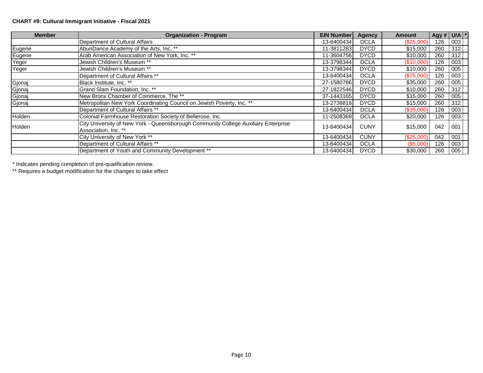### **CHART #9: Cultural Immigrant Initiative - Fiscal 2021**

| <b>Member</b> | <b>Organization - Program</b>                                                                              | <b>EIN Number</b> | <b>Agency</b> | Amount     | Agy # $U/A$ * |     |  |
|---------------|------------------------------------------------------------------------------------------------------------|-------------------|---------------|------------|---------------|-----|--|
|               | Department of Cultural Affairs                                                                             | 13-6400434        | <b>DCLA</b>   | (\$25,000) | 126           | 003 |  |
| Eugene        | AbunDance Academy of the Arts, Inc. **                                                                     | 11-3811283        | <b>DYCD</b>   | \$15,000   | 260           | 312 |  |
| Eugene        | Arab American Association of New York, Inc. **                                                             | 11-3604756        | <b>DYCD</b>   | \$10,000   | 260           | 312 |  |
| Yeger         | Jewish Children's Museum **                                                                                | 13-3798344        | <b>DCLA</b>   | (\$10,000) | 126           | 003 |  |
| Yeger         | Jewish Children's Museum **                                                                                | 13-3798344        | <b>DYCD</b>   | \$10,000   | 260           | 005 |  |
|               | Department of Cultural Affairs **                                                                          | 13-6400434        | <b>DCLA</b>   | (\$75,000) | 126           | 003 |  |
| Gjonaj        | Black Institute, Inc. **                                                                                   | 27-1580786        | <b>DYCD</b>   | \$35,000   | 260           | 005 |  |
| Gjonaj        | Grand Slam Foundation, Inc. **                                                                             | 27-1822546        | <b>DYCD</b>   | \$10,000   | 260           | 312 |  |
| Gjonaj        | New Bronx Chamber of Commerce, The **                                                                      | 37-1443165        | <b>DYCD</b>   | \$15,000   | 260           | 005 |  |
| Gjonaj        | Metropolitan New York Coordinating Council on Jewish Poverty, Inc. **                                      | 13-2738818        | <b>DYCD</b>   | \$15,000   | 260           | 312 |  |
|               | Department of Cultural Affairs **                                                                          | 13-6400434        | <b>DCLA</b>   | (\$35,000) | 126           | 003 |  |
| Holden        | Colonial Farmhouse Restoration Society of Bellerose, Inc.                                                  | 11-2508369        | <b>DCLA</b>   | \$20,000   | 126           | 003 |  |
| Holden        | City University of New York - Queensborough Community College Auxiliary Enterprise<br>Association, Inc. ** | 13-6400434        | <b>CUNY</b>   | \$15,000   | 042           | 001 |  |
|               | City University of New York **                                                                             | 13-6400434        | <b>CUNY</b>   | (\$25,000) | 042           | 001 |  |
|               | Department of Cultural Affairs **                                                                          | 13-6400434        | <b>DCLA</b>   | (\$5,000)  | 126           | 003 |  |
|               | Department of Youth and Community Development **                                                           | 13-6400434        | <b>DYCD</b>   | \$30,000   | 260           | 005 |  |

\* Indicates pending completion of pre-qualification review.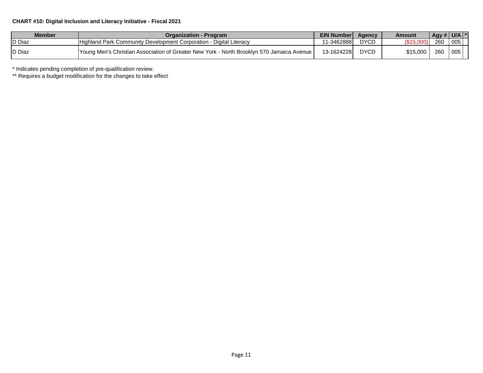### **CHART #10: Digital Inclusion and Literacy Initiative - Fiscal 2021**

| <b>Member</b>  | Organization - Program                                                                      | <b>EIN Number</b> | Agency      | Amount   | Agy # $ U/A $ |     |
|----------------|---------------------------------------------------------------------------------------------|-------------------|-------------|----------|---------------|-----|
| <b>ID Diaz</b> | <b>IHighland Park Community Development Corporation - Digital Literacy</b>                  | 11-3462888        | <b>DYCE</b> |          | 260           | 005 |
| <b>ID Diaz</b> | I Young Men's Christian Association of Greater New York - North Brooklyn 570 Jamaica Avenue | 13-1624228        | <b>DYCE</b> | \$15.000 | 260           | 005 |

\* Indicates pending completion of pre-qualification review.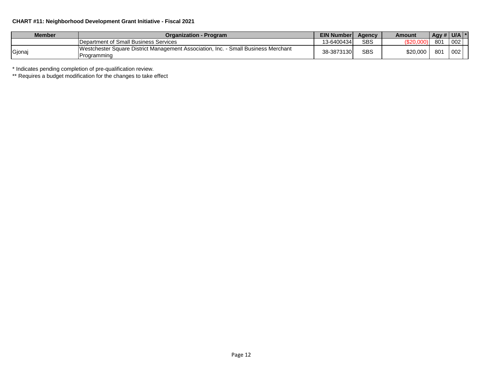### **CHART #11: Neighborhood Development Grant Initiative - Fiscal 2021**

| <b>Member</b> | Organization - Program                                                                            | <b>EIN Number</b> | <b>Agency</b> | Amount         | $\left $ Agy # $\right $ U/A $\left $ * |     |  |
|---------------|---------------------------------------------------------------------------------------------------|-------------------|---------------|----------------|-----------------------------------------|-----|--|
|               | Department of Small Business Services                                                             | 13-6400434        | <b>SBS</b>    | ሶገባ<br>໓∠∪.∪∪ບ | 801                                     | 002 |  |
| Gjonaj        | Westchester Square District Management Association, Inc. - Small Business Merchant<br>Programming | 38-3873130        | <b>SBS</b>    | \$20,000       | 801                                     | 002 |  |

\* Indicates pending completion of pre-qualification review.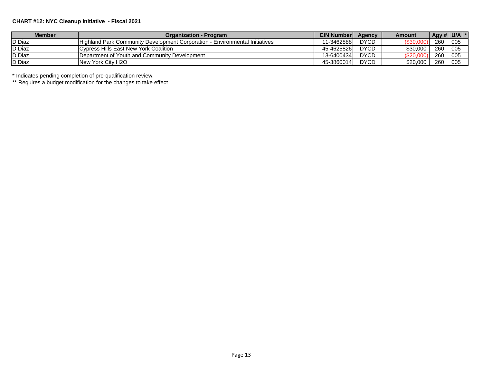### **CHART #12: NYC Cleanup Initiative - Fiscal 2021**

| <b>Member</b>  | <b>Organization - Program</b>                                               | <b>EIN Number</b> | Agency      | <b>Amount</b>     | Agy # $U/A$ * |     |
|----------------|-----------------------------------------------------------------------------|-------------------|-------------|-------------------|---------------|-----|
| <b>ID Diaz</b> | Highland Park Community Development Corporation - Environmental Initiatives | 11-3462888        | <b>DYCD</b> | (\$30,00          | 260           | 005 |
| D Diaz         | <b>Cypress Hills East New York Coalition</b>                                | 45-4625826        | <b>DYCD</b> | \$30.000          | 260           | 005 |
| <b>D</b> Diaz  | Department of Youth and Community Development                               | 13-6400434        | <b>DYCD</b> | <b>7\$20,0∪</b> ັ | 260           | 005 |
| <b>D</b> Diaz  | New York City H2O                                                           | 45-3860014        | <b>DYCD</b> | \$20.000          | 260           | 005 |

\* Indicates pending completion of pre-qualification review.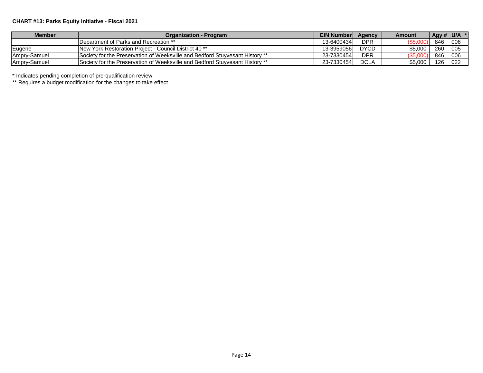# **CHART #13: Parks Equity Initiative - Fiscal 2021**

| <b>Member</b> | Organization - Program                                                               | <b>EIN Number</b> | Agency      | Amount     | Agy # $ $ U/A $ $ |     |
|---------------|--------------------------------------------------------------------------------------|-------------------|-------------|------------|-------------------|-----|
|               | Department of Parks and Recreation **                                                | 13-64004341       | DPR         | \$5,00     | 846               | 006 |
| Eugene        | <b>INew York Restoration Project - Council District 40 **</b>                        | 13-3959056        | <b>DYCD</b> | \$5.000    | 260               | 005 |
| Ampry-Samuel  | Society for the Preservation of Weeksville and Bedford Stuvyesant History **         | 23-7330454        | DPR         | $($ \$5,00 | 846               | 006 |
| Ampry-Samuel  | <b>ISociety for the Preservation of Weeksville and Bedford Stuvyesant History **</b> | 23-7330454        | <b>DCLA</b> | \$5,000    | 126               | 022 |

\* Indicates pending completion of pre-qualification review.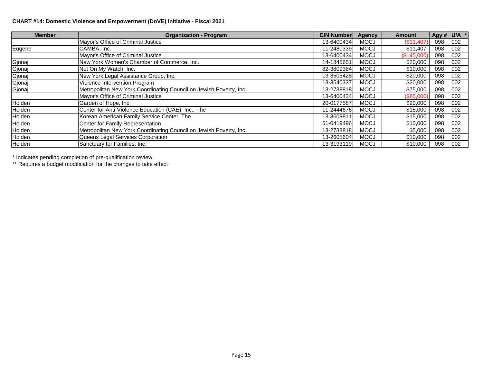### **CHART #14: Domestic Violence and Empowerment (DoVE) Initiative - Fiscal 2021**

| <b>Member</b> | <b>Organization - Program</b>                                      | <b>EIN Number</b> | Agency      | <b>Amount</b> | Agy # $U/A$ <sup>*</sup> |     |  |
|---------------|--------------------------------------------------------------------|-------------------|-------------|---------------|--------------------------|-----|--|
|               | Mayor's Office of Criminal Justice                                 | 13-6400434        | <b>MOCJ</b> | (\$11,407)    | 098                      | 002 |  |
| Eugene        | CAMBA, Inc.                                                        | 11-2480339        | <b>MOCJ</b> | \$11,407      | 098                      | 002 |  |
|               | Mayor's Office of Criminal Justice                                 | 13-6400434        | <b>MOCJ</b> | (S145,000)    | 098                      | 002 |  |
| Gjonaj        | New York Women's Chamber of Commerce, Inc.                         | 14-1845651        | <b>MOCJ</b> | \$20,000      | 098                      | 002 |  |
| Gjonaj        | Not On My Watch, Inc.                                              | 82-3809384        | <b>MOCJ</b> | \$10,000      | 098                      | 002 |  |
| Gjonaj        | New York Legal Assistance Group, Inc.                              | 13-3505428        | <b>MOCJ</b> | \$20,000      | 098                      | 002 |  |
| Gjonaj        | Violence Intervention Program                                      | 13-3540337        | <b>MOCJ</b> | \$20,000      | 098                      | 002 |  |
| Gjonaj        | Metropolitan New York Coordinating Council on Jewish Poverty, Inc. | 13-2738818        | <b>MOCJ</b> | \$75,000      | 098                      | 002 |  |
|               | Mayor's Office of Criminal Justice                                 | 13-6400434        | <b>MOCJ</b> | (\$85,000)    | 098                      | 002 |  |
| Holden        | Garden of Hope, Inc.                                               | 20-0177587        | <b>MOCJ</b> | \$20,000      | 098                      | 002 |  |
| Holden        | Center for Anti-Violence Education (CAE), Inc., The                | 11-2444676        | <b>MOCJ</b> | \$15,000      | 098                      | 002 |  |
| Holden        | Korean American Family Service Center, The                         | 13-3609811        | <b>MOCJ</b> | \$15,000      | 098                      | 002 |  |
| Holden        | Center for Family Representation                                   | 51-0419496        | <b>MOCJ</b> | \$10,000      | 098                      | 002 |  |
| Holden        | Metropolitan New York Coordinating Council on Jewish Poverty, Inc. | 13-2738818        | <b>MOCJ</b> | \$5,000       | 098                      | 002 |  |
| Holden        | Queens Legal Services Corporation                                  | 13-2605604        | <b>MOCJ</b> | \$10,000      | 098                      | 002 |  |
| Holden        | Sanctuary for Families, Inc.                                       | 13-3193119        | <b>MOCJ</b> | \$10,000      | 098                      | 002 |  |

\* Indicates pending completion of pre-qualification review.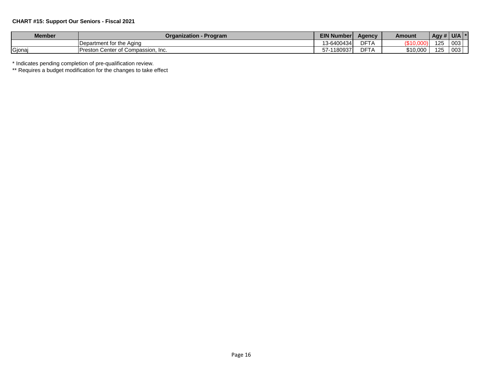### **CHART #15: Support Our Seniors - Fiscal 2021**

| <b>Member</b> | Organization - Program                         | <b>EIN Number</b> | Agency                     | Amount                      | $\overline{AB}$ Agy # U/A |     |  |
|---------------|------------------------------------------------|-------------------|----------------------------|-----------------------------|---------------------------|-----|--|
|               | Department for the Aging                       | 13-6400434        | <b>DET</b><br>A<br>பா      | 0.400<br><u> ມ ເບ.ບບບ ເ</u> | 125                       | 003 |  |
| Gjona         | <b>Preston</b><br>i Center of Compassion, Inc. | 1180937<br>57-    | n <sub>m</sub><br>பா<br>הו | \$10,000                    | $\sqrt{2}$<br>IZ5         | 003 |  |

\* Indicates pending completion of pre-qualification review.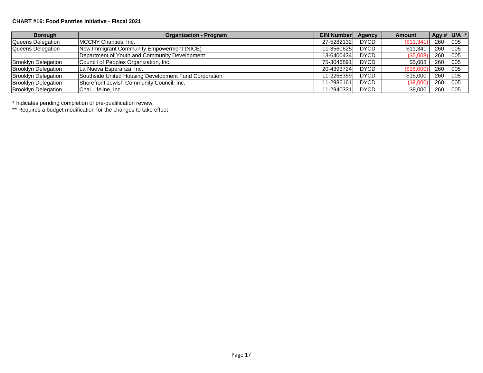#### **CHART #16: Food Pantries Initiative - Fiscal 2021**

| <b>Borough</b>             | <b>Organization - Program</b>                         | <b>EIN Number</b> | Agency      | <b>Amount</b> | Agy # $U/A$ * |     |  |
|----------------------------|-------------------------------------------------------|-------------------|-------------|---------------|---------------|-----|--|
| Queens Delegation          | MCCNY Charities, Inc.                                 | 27-52821321       | <b>DYCD</b> | (\$11,34)     | 260           | 005 |  |
| Queens Delegation          | New Immigrant Community Empowerment (NICE)            | 11-3560625        | <b>DYCD</b> | \$11,341      | 260           | 005 |  |
|                            | Department of Youth and Community Development         | 13-6400434        | <b>DYCD</b> | (\$5,008      | 260           | 005 |  |
| <b>Brooklyn Delegation</b> | Council of Peoples Organization, Inc.                 | 75-3046891        | <b>DYCD</b> | \$5,008       | 260           | 005 |  |
| <b>Brooklyn Delegation</b> | La Nueva Esperanza, Inc.                              | 20-4393724        | <b>DYCD</b> | (\$15,00      | 260           | 005 |  |
| <b>Brooklyn Delegation</b> | Southside United Housing Development Fund Corporation | 11-2268359        | <b>DYCD</b> | \$15,000      | 260           | 005 |  |
| <b>Brooklyn Delegation</b> | Shorefront Jewish Community Council, Inc.             | 11-2986161        | <b>DYCD</b> | (\$9,000      | 260           | 005 |  |
| <b>Brooklyn Delegation</b> | Chai Lifeline, Inc.                                   | 11-2940331        | <b>DYCD</b> | \$9,000       | 260           | 005 |  |

\* Indicates pending completion of pre-qualification review.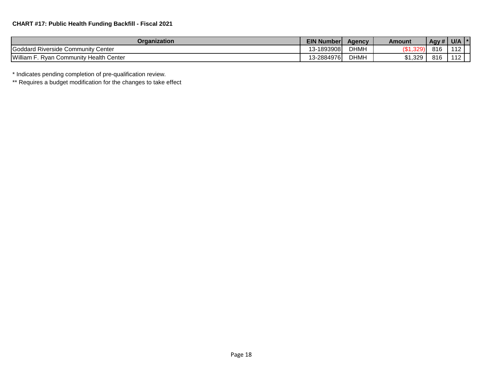| Organization                                      | <b>EIN Number</b>                  | <b>Agency</b> | Amount           | Agy# | U/A                      |  |
|---------------------------------------------------|------------------------------------|---------------|------------------|------|--------------------------|--|
| Goddard Riverside Community Center                | -1893908<br>$\overline{ }$<br>∹ک ا | <b>DHMH</b>   | $\sim$<br>ו פ∠ס. | 816  |                          |  |
| William<br>/ Health Center<br>. Rvan<br>Community | 13-2884976                         | <b>DHMH</b>   | \$1,329          | 816  | $\overline{\phantom{a}}$ |  |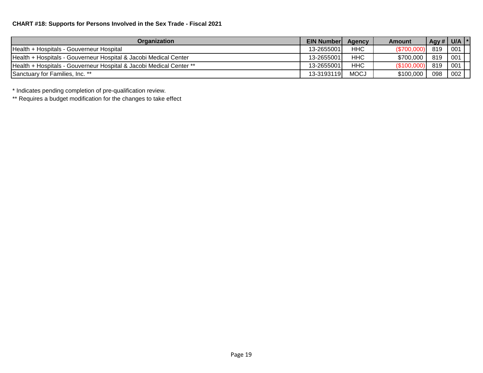# **CHART #18: Supports for Persons Involved in the Sex Trade - Fiscal 2021**

| Organization                                                        | <b>EIN Numberl</b> | Agency      | <b>Amount</b> | Agy # | U/A |
|---------------------------------------------------------------------|--------------------|-------------|---------------|-------|-----|
| Health + Hospitals - Gouverneur Hospital                            | 13-2655001         | <b>HHC</b>  | (\$700,000    | 819   | 001 |
| Health + Hospitals - Gouverneur Hospital & Jacobi Medical Center    | 13-2655001         | <b>HHC</b>  | \$700,000     | 819   | 001 |
| Health + Hospitals - Gouverneur Hospital & Jacobi Medical Center ** | 13-2655001         | <b>HHC</b>  | (\$100,000    | 819   | 001 |
| Sanctuary for Families, Inc. **                                     | 13-3193119         | <b>MOCJ</b> | \$100,000     | 098   | 002 |

\* Indicates pending completion of pre-qualification review.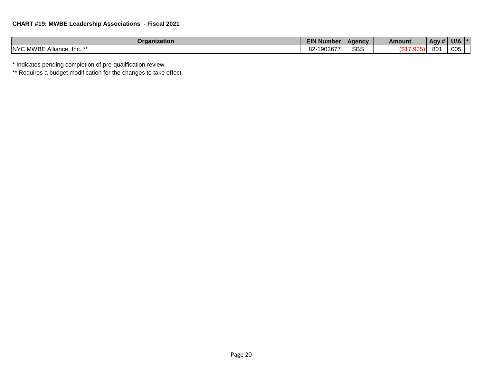| Organization                      | <b>EIN Number</b>                      | Agency     | Amount                          | .<br><b>Agy</b> #' | U/A |  |
|-----------------------------------|----------------------------------------|------------|---------------------------------|--------------------|-----|--|
| <b>NYC MWBE Alliance,</b><br>Inc. | $\sim$<br>$10000 -$<br>·1902677<br>o∠· | <b>SBS</b> | $\overline{a}$<br>$\mathcal{A}$ | 001<br>oυ          | 005 |  |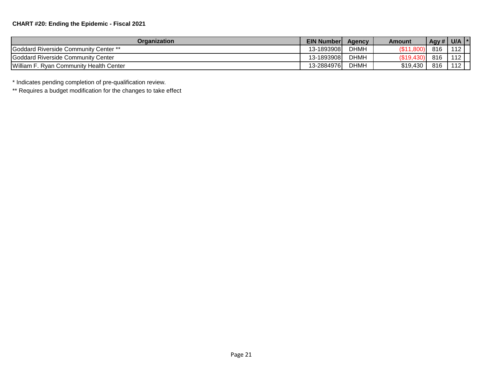| Organization                            | EIN Number | <b>Agency</b> | Amount           | Agy # | U/A |  |
|-----------------------------------------|------------|---------------|------------------|-------|-----|--|
| Goddard Riverside Community Center **   | 13-1893908 | <b>DHMH</b>   | .1,800'<br>(\$11 | 816   | 112 |  |
| Goddard Riverside Community Center      | 13-1893908 | <b>DHMH</b>   | $($ \$19.430)    | 816   | 112 |  |
| William F. Ryan Community Health Center | 13-2884976 | <b>DHMH</b>   | \$19,430         | 816   | 112 |  |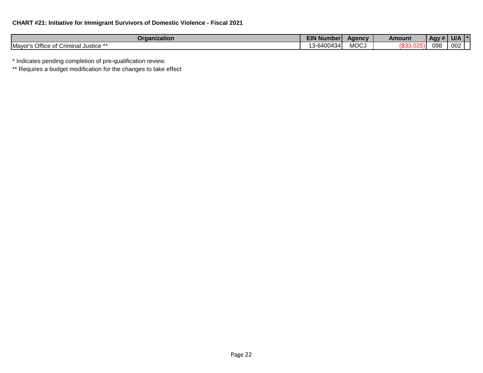# **CHART #21: Initiative for Immigrant Survivors of Domestic Violence - Fiscal 2021**

| Organization                                      | <b>EIN No</b><br>I Numberi | Agency      | Amount | .<br>Agy # | <b>UIA</b> |
|---------------------------------------------------|----------------------------|-------------|--------|------------|------------|
| Office<br><b>Mayor</b><br>. Justice **<br>Crimina | .3-6400434                 | <b>MOCJ</b> |        | <b>098</b> | 002        |

\* Indicates pending completion of pre-qualification review.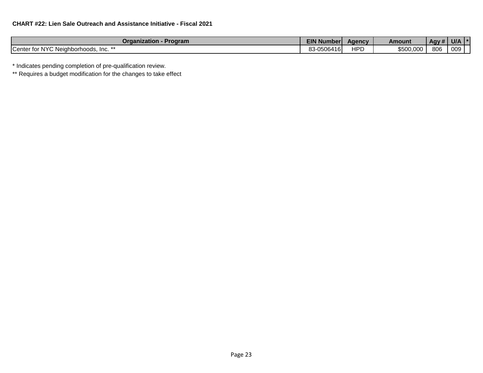| <b>Organization - Program</b>         | <b>EIN Number</b> | Agency     | Amount    | .<br>Agy # ' | U/A |  |
|---------------------------------------|-------------------|------------|-----------|--------------|-----|--|
| Center for NYC Neighborhoods, Inc. ** | 83-0506416        | <b>HPD</b> | \$500,000 | 806          | 009 |  |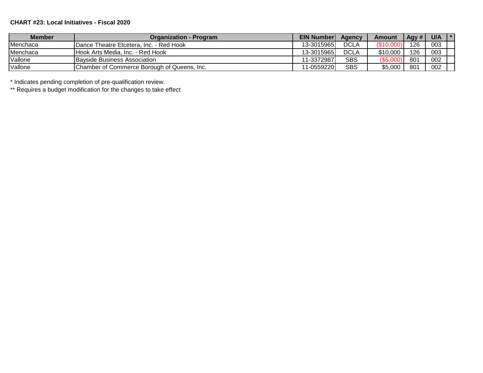# **CHART #23: Local Initiatives - Fiscal 2020**

| <b>Member</b> | <b>Organization - Program</b>               | <b>EIN Number</b> | Agency      | Amount    | Agy # | U/A | $\mathbf{1}$ $\mathbf{x}$ |
|---------------|---------------------------------------------|-------------------|-------------|-----------|-------|-----|---------------------------|
| Menchaca      | IDance Theatre Etcetera. Inc. - Red Hook    | 13-3015965        | <b>DCLA</b> | (\$10,000 | 126   | 003 |                           |
| Menchaca      | Hook Arts Media, Inc. - Red Hook            | 13-3015965        | DCLA        | \$10,000  | 126   | 003 |                           |
| Vallone       | <b>Bayside Business Association</b>         | 11-3372987        | SBS         | (\$5,000  | 801   | 002 |                           |
| Vallone       | Chamber of Commerce Borough of Queens, Inc. | 11-0559220        | SBS         | \$5,000   | 801   | 002 |                           |

\* Indicates pending completion of pre-qualification review.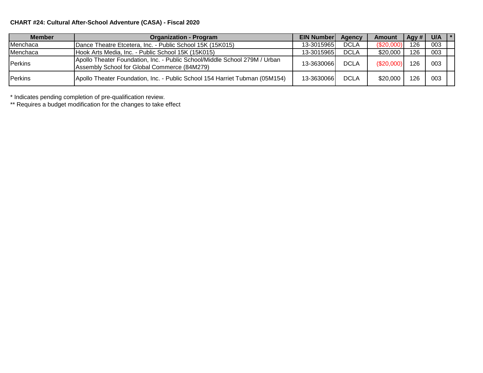# **CHART #24: Cultural After-School Adventure (CASA) - Fiscal 2020**

| <b>Member</b>  | <b>Organization - Program</b>                                                                                              |             | <b>EIN Number</b><br>Agency | <b>Amount</b> | Agy # | $U/A$ $*$ |  |
|----------------|----------------------------------------------------------------------------------------------------------------------------|-------------|-----------------------------|---------------|-------|-----------|--|
| Menchaca       | Dance Theatre Etcetera, Inc. - Public School 15K (15K015)                                                                  |             | DCLA<br>13-30159651         | (S20.000)     | 126   | 003       |  |
| Menchaca       | Hook Arts Media, Inc. - Public School 15K (15K015)                                                                         | 13-3015965  | <b>DCLA</b>                 | \$20,000      | 126   | 003       |  |
| Perkins        | Apollo Theater Foundation, Inc. - Public School/Middle School 279M / Urban<br>Assembly School for Global Commerce (84M279) | 13-3630066  | <b>DCLA</b>                 | (\$20,000)    | 126   | 003       |  |
| <b>Perkins</b> | Apollo Theater Foundation, Inc. - Public School 154 Harriet Tubman (05M154)                                                | 13-36300661 | <b>DCLA</b>                 | \$20,000      | 126   | 003       |  |

\* Indicates pending completion of pre-qualification review.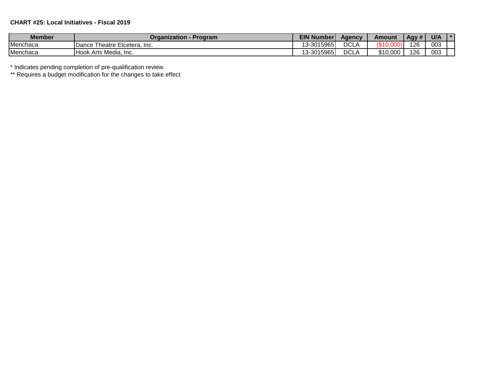# **CHART #25: Local Initiatives - Fiscal 2019**

| <b>Member</b> | Organization<br><b>Program</b>    | <b>EIN Number</b> | Aqencv      | Amount            | Agy # | U/A |  |
|---------------|-----------------------------------|-------------------|-------------|-------------------|-------|-----|--|
| Menchaca      | Theatre Etcetera. Inc.<br>Dance   | 13-3015965        | DCL/        | 1010<br>. (აეს. . | 126   | 003 |  |
| Menchaca      | <b>Hook Arts Media,</b><br>. Inc. | 3-3015965<br>12   | <b>DCLA</b> | \$10,000          | 126   | 003 |  |

\* Indicates pending completion of pre-qualification review.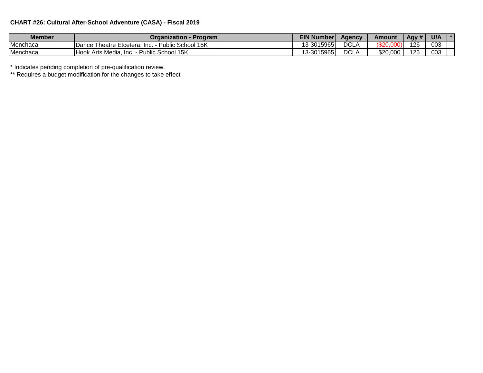# **CHART #26: Cultural After-School Adventure (CASA) - Fiscal 2019**

| <b>Member</b> | Organization -<br>· Program                                  | <b>EIN Number</b> | Aqencv      | Amount   | Agy # | U/A |  |
|---------------|--------------------------------------------------------------|-------------------|-------------|----------|-------|-----|--|
| Menchaca      | Public School 15K<br><b>IDance Theatre Etcetera.</b><br>Inc. | 13-3015965        | <b>DCLA</b> | \$20.0   | 126   | 003 |  |
| Menchaca      | Public School 15K<br>Hook Arts Media,<br>Inc.                | 13-3015965        | DCL/        | \$20,000 | 126   | 003 |  |

\* Indicates pending completion of pre-qualification review.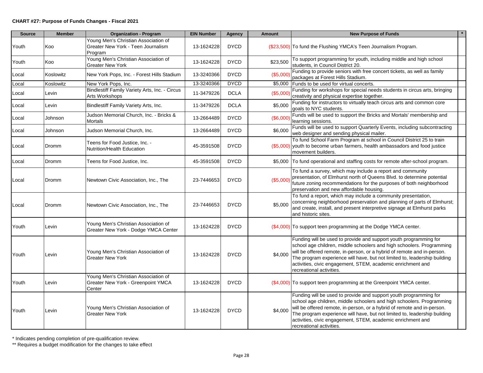| <b>Source</b> | <b>Member</b> | <b>Organization - Program</b>                                                         | <b>EIN Number</b> | <b>Agency</b> | <b>Amount</b> | <b>New Purpose of Funds</b>                                                                                                                                                                                                                                                                                                                                                                   |
|---------------|---------------|---------------------------------------------------------------------------------------|-------------------|---------------|---------------|-----------------------------------------------------------------------------------------------------------------------------------------------------------------------------------------------------------------------------------------------------------------------------------------------------------------------------------------------------------------------------------------------|
| Youth         | Koo           | Young Men's Christian Association of<br>Greater New York - Teen Journalism<br>Program | 13-1624228        | <b>DYCD</b>   |               | (\$23,500) To fund the Flushing YMCA's Teen Journalism Program.                                                                                                                                                                                                                                                                                                                               |
| Youth         | Koo           | Young Men's Christian Association of<br><b>Greater New York</b>                       | 13-1624228        | <b>DYCD</b>   | \$23,500      | To support programming for youth, including middle and high school<br>students, in Council District 20.                                                                                                                                                                                                                                                                                       |
| Local         | Koslowitz     | New York Pops, Inc. - Forest Hills Stadium                                            | 13-3240366        | <b>DYCD</b>   | (\$5,000      | Funding to provide seniors with free concert tickets, as well as family<br>packages at Forest Hills Stadium.                                                                                                                                                                                                                                                                                  |
| Local         | Koslowitz     | New York Pops, Inc.                                                                   | 13-3240366        | <b>DYCD</b>   |               | \$5,000 Funds to be used for virtual concerts.                                                                                                                                                                                                                                                                                                                                                |
| Local         | Levin         | Bindlestiff Family Variety Arts, Inc. - Circus<br>Arts Workshops                      | 11-3479226        | <b>DCLA</b>   | (\$5,000      | Funding for workshops for special needs students in circus arts, bringing<br>creativity and physical expertise together.                                                                                                                                                                                                                                                                      |
| Local         | Levin         | Bindlestiff Family Variety Arts, Inc.                                                 | 11-3479226        | <b>DCLA</b>   | \$5,000       | Funding for instructors to virtually teach circus arts and common core<br>goals to NYC students.                                                                                                                                                                                                                                                                                              |
| Local         | Johnson       | Judson Memorial Church, Inc. - Bricks &<br>Mortals                                    | 13-2664489        | <b>DYCD</b>   | (\$6,000      | Funds will be used to support the Bricks and Mortals' membership and<br>learning sessions.                                                                                                                                                                                                                                                                                                    |
| Local         | Johnson       | Judson Memorial Church, Inc.                                                          | 13-2664489        | <b>DYCD</b>   | \$6,000       | Funds will be used to support Quarterly Events, including subcontracting<br>web designer and sending physical mailer.                                                                                                                                                                                                                                                                         |
| Local         | Dromm         | Teens for Food Justice, Inc. -<br>Nutrition/Health Education                          | 45-3591508        | <b>DYCD</b>   |               | To fund School Farm Program at school in Council District 25 to train<br>(\$5,000) youth to become urban farmers, health ambassadors and food justice<br>movement builders.                                                                                                                                                                                                                   |
| Local         | Dromm         | Teens for Food Justice, Inc.                                                          | 45-3591508        | <b>DYCD</b>   |               | \$5,000 To fund operational and staffing costs for remote after-school program.                                                                                                                                                                                                                                                                                                               |
| Local         | <b>Dromm</b>  | Newtown Civic Association, Inc., The                                                  | 23-7446653        | <b>DYCD</b>   | (\$5,000)     | To fund a survey, which may include a report and community<br>presentation, of Elmhurst north of Queens Blvd. to determine potential<br>future zoning recommendations for the purposes of both neighborhood<br>preservation and new affordable housing.                                                                                                                                       |
| Local         | Dromm         | Newtown Civic Association, Inc., The                                                  | 23-7446653        | <b>DYCD</b>   | \$5,000       | To fund a report, which may include a community presentation,<br>concerning neighborhood preservation and planning of parts of Elmhurst;<br>and create, install, and present interpretive signage at Elmhurst parks<br>and historic sites.                                                                                                                                                    |
| Youth         | Levin         | Young Men's Christian Association of<br>Greater New York - Dodge YMCA Center          | 13-1624228        | <b>DYCD</b>   |               | $(\$4,000)$ To support teen programming at the Dodge YMCA center.                                                                                                                                                                                                                                                                                                                             |
| Youth         | Levin         | Young Men's Christian Association of<br>Greater New York                              | 13-1624228        | <b>DYCD</b>   | \$4,000       | Funding will be used to provide and support youth programming for<br>school age children, middle schoolers and high schoolers. Programming<br>will be offered remote, in-person, or a hybrid of remote and in-person.<br>The program experience will have, but not limited to, leadership building<br>activities, civic engagement, STEM, academic enrichment and<br>recreational activities. |
| Youth         | Levin         | Young Men's Christian Association of<br>Greater New York - Greenpoint YMCA<br>Center  | 13-1624228        | <b>DYCD</b>   |               | (\$4,000) To support teen programming at the Greenpoint YMCA center.                                                                                                                                                                                                                                                                                                                          |
| Youth         | Levin         | Young Men's Christian Association of<br><b>Greater New York</b>                       | 13-1624228        | <b>DYCD</b>   | \$4,000       | Funding will be used to provide and support youth programming for<br>school age children, middle schoolers and high schoolers. Programming<br>will be offered remote, in-person, or a hybrid of remote and in-person.<br>The program experience will have, but not limited to, leadership building<br>activities, civic engagement, STEM, academic enrichment and<br>recreational activities. |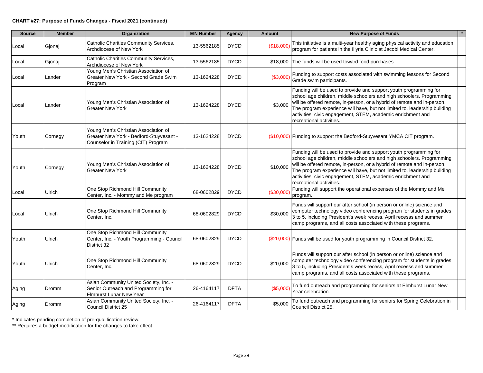#### **CHART #27: Purpose of Funds Changes - Fiscal 2021 (continued)**

| <b>Source</b> | <b>Member</b> | Organization                                                                                                           | <b>EIN Number</b> | Agency      | <b>Amount</b> | <b>New Purpose of Funds</b>                                                                                                                                                                                                                                                                                                                                                                   |
|---------------|---------------|------------------------------------------------------------------------------------------------------------------------|-------------------|-------------|---------------|-----------------------------------------------------------------------------------------------------------------------------------------------------------------------------------------------------------------------------------------------------------------------------------------------------------------------------------------------------------------------------------------------|
| Local         | Gjonaj        | Catholic Charities Community Services,<br>Archdiocese of New York                                                      | 13-5562185        | <b>DYCD</b> | (\$18,000)    | This initiative is a multi-year healthy aging physical activity and education<br>program for patients in the Illyria Clinic at Jacobi Medical Center.                                                                                                                                                                                                                                         |
| Local         | Gjonaj        | Catholic Charities Community Services,<br>Archdiocese of New York                                                      | 13-5562185        | <b>DYCD</b> |               | \$18,000 The funds will be used toward food purchases.                                                                                                                                                                                                                                                                                                                                        |
| Local         | Lander        | Young Men's Christian Association of<br>Greater New York - Second Grade Swim<br>Program                                | 13-1624228        | <b>DYCD</b> | ( \$3,000]    | Funding to support costs associated with swimming lessons for Second<br>Grade swim participants.                                                                                                                                                                                                                                                                                              |
| Local         | Lander        | Young Men's Christian Association of<br>Greater New York                                                               | 13-1624228        | <b>DYCD</b> | \$3,000       | Funding will be used to provide and support youth programming for<br>school age children, middle schoolers and high schoolers. Programming<br>will be offered remote, in-person, or a hybrid of remote and in-person.<br>The program experience will have, but not limited to, leadership building<br>activities, civic engagement, STEM, academic enrichment and<br>recreational activities. |
| Youth         | Cornegy       | Young Men's Christian Association of<br>Greater New York - Bedford-Stuyvesant -<br>Counselor in Training (CIT) Program | 13-1624228        | <b>DYCD</b> |               | (\$10,000) Funding to support the Bedford-Stuyvesant YMCA CIT program.                                                                                                                                                                                                                                                                                                                        |
| Youth         | Cornegy       | Young Men's Christian Association of<br><b>Greater New York</b>                                                        | 13-1624228        | <b>DYCD</b> | \$10,000      | Funding will be used to provide and support youth programming for<br>school age children, middle schoolers and high schoolers. Programming<br>will be offered remote, in-person, or a hybrid of remote and in-person.<br>The program experience will have, but not limited to, leadership building<br>activities, civic engagement, STEM, academic enrichment and<br>recreational activities. |
| Local         | Ulrich        | One Stop Richmond Hill Community<br>Center, Inc. - Mommy and Me program                                                | 68-0602829        | <b>DYCD</b> | (\$30,000)    | Funding will support the operational expenses of the Mommy and Me<br>program.                                                                                                                                                                                                                                                                                                                 |
| Local         | Ulrich        | One Stop Richmond Hill Community<br>Center, Inc.                                                                       | 68-0602829        | <b>DYCD</b> | \$30,000      | Funds will support our after school (in person or online) science and<br>computer technology video conferencing program for students in grades<br>3 to 5, including President's week recess, April recesss and summer<br>camp programs, and all costs associated with these programs.                                                                                                         |
| Youth         | Ulrich        | One Stop Richmond Hill Community<br>Center, Inc. - Youth Programming - Council<br>District 32                          | 68-0602829        | <b>DYCD</b> |               | (\$20,000) Funds will be used for youth programming in Council District 32.                                                                                                                                                                                                                                                                                                                   |
| Youth         | Ulrich        | One Stop Richmond Hill Community<br>Center, Inc.                                                                       | 68-0602829        | <b>DYCD</b> | \$20,000      | Funds will support our after school (in person or online) science and<br>computer technology video conferencing program for students in grades<br>3 to 5, including President's week recess, April recesss and summer<br>camp programs, and all costs associated with these programs.                                                                                                         |
| Aging         | Dromm         | Asian Community United Society, Inc. -<br>Senior Outreach and Programming for<br>Elmhurst Lunar New Year               | 26-4164117        | <b>DFTA</b> | (\$5,000)     | To fund outreach and programming for seniors at Elmhurst Lunar New<br>Year celebration.                                                                                                                                                                                                                                                                                                       |
| Aging         | Dromm         | Asian Community United Society, Inc. -<br><b>Council District 25</b>                                                   | 26-4164117        | <b>DFTA</b> | \$5,000       | To fund outreach and programming for seniors for Spring Celebration in<br>Council District 25.                                                                                                                                                                                                                                                                                                |

\* Indicates pending completion of pre-qualification review.